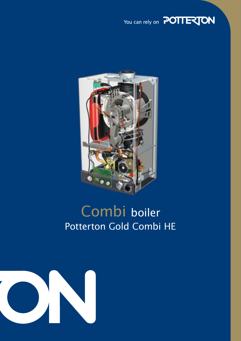



# Combi boiler Potterton Gold Combi HE

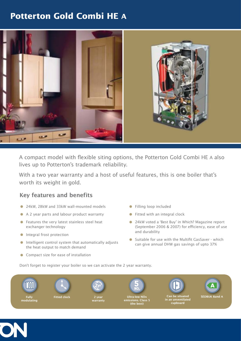# **Potterton Gold Combi HE A**



A compact model with flexible siting options, the Potterton Gold Combi HE A also lives up to Potterton's trademark reliability.

With a two year warranty and a host of useful features, this is one boiler that's worth its weight in gold.

## Key features and benefits

- 24kW, 28kW and 33kW wall-mounted models
- A 2 year parts and labour product warranty
- **•** Features the very latest stainless steel heat exchanger technology
- **Integral frost protection**
- $\bullet$  Intelligent control system that automatically adjusts the heat output to match demand
- Compact size for ease of installation
- **•** Filling loop included
- Fitted with an integral clock
- 24kW voted a 'Best Buy' in Which? Magazine report (September 2006 & 2007) for efficiency, ease of use and durability
- Suitable for use with the Multifit GasSaver which can give annual DHW gas savings of upto 37%

Don't forget to register your boiler so we can activate the 2 year warranty.



Fully modulating





 $\mathbf{w}$ arranty

**2**



Ultra-low NOx emissions. Class (the best)



Can be situated in an unventilated cupboard



SEDBUK Band A

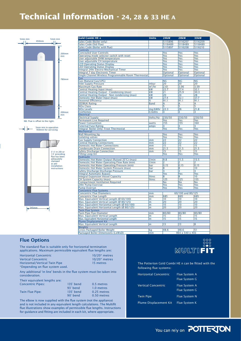# **Technical Information - 24, 28 & 33 HE A**





| <b>Gold Combi HE A</b>                                                   | <b>Units</b>   | <b>24kW</b>            | <b>28kW</b>            | 33kW           |
|--------------------------------------------------------------------------|----------------|------------------------|------------------------|----------------|
|                                                                          |                |                        |                        |                |
| Sales Code (Boiler only)                                                 |                | 5115896                | 5116207                | 5116209        |
| Sales Code (Std Flue)                                                    |                | 5118489                | 5118489                | 5118489        |
| Sales Code (Boiler with flue)<br><b>Controls</b>                         |                | 5115897                | 5116208                | 5116210        |
| <b>Concealed User Controls</b>                                           |                | Yes                    | Yes                    | Yes            |
| Operating mode selector switch with reset                                |                | Yes                    | Yes                    | Yes            |
| User adjustable DHW temperature                                          |                | Yes                    | Yes                    | <b>Yes</b>     |
| User adjustable CH temperature                                           |                | Yes                    | Yes                    | Yes            |
| <b>LCD Operating Status Display</b>                                      |                | Yes                    | Yes                    | Yes            |
| <b>LED Operating Status Display</b>                                      |                | Yes                    | Yes                    | Yes            |
| Integral 24hr Electro-Mechanical Timer                                   |                | Yes                    | Yes                    | Yes            |
| Integral 7 day Electronic Timer                                          |                | Optional               | Optional               | Optional       |
| Single Channel Wireless Programmable Room Thermostat                     |                | Optional               | Optional               | Optional       |
| Gas                                                                      |                |                        |                        |                |
| Gas (Natural Gas/LPG)                                                    |                | $\overline{\text{NG}}$ | $\overline{\text{NG}}$ | N <sub>G</sub> |
| <b>Inlet Supply Pressure</b>                                             | mbar           | 20                     | 20                     | 20             |
| <b>Maximum Gas Rate</b>                                                  | $m^3/hr$<br>kW | 2.61<br>22.7           | 3.06<br>27.4           | 3.59           |
| Central Heating Input (max)<br>Central Heating Output - Condensing (max) | kW             | 21                     | 25.9                   | 32.1<br>30.3   |
| Central Heating Output - Non condensing (max)                            | kW             | 20                     | 24                     | 28             |
| Domestic Hot Water Input (max)                                           | kW             | 27.4                   | 32.1                   | 37.7           |
| <b>Seasonal Efficiency</b>                                               | %              | 91.1                   | 91.1                   | 91.1           |
| <b>SEDBUK Rating</b>                                                     | <b>Band</b>    | А                      | A                      | A              |
| <b>NOx Class</b>                                                         |                | 5                      | $\overline{5}$         | 5              |
| <b>NOx Levels</b>                                                        | mg/kWhr        | 22.3                   | $\overline{26}$        | 21.8           |
| <b>EcoHomes</b>                                                          | <b>Credits</b> | 3                      | 3                      | 3              |
| Electrical                                                               |                |                        |                        |                |
| <b>Electrical Supply</b>                                                 | Volts/Hz       | 230/50                 | 230/50                 | 230/50         |
| <b>Permanent Live Required</b>                                           |                | Yes                    | Yes                    | Yes            |
| <b>Power Consumtion</b>                                                  | watts          | 155                    | 155                    | 160            |
| <b>External Fuse Rating</b>                                              | amps           | 3.                     | 3                      | 3.             |
| Integral 'Boiler Only' Frost Thermostat                                  |                | Yes                    | Yes                    | Yes            |
| Mechanical                                                               |                |                        |                        |                |
| <b>Wall Mounting Jig</b>                                                 |                | Yes                    | Yes                    | Yes            |
| <b>Isolating valves</b>                                                  |                | Yes                    | Yes                    | Yes            |
| <b>Gas Supply Connection</b>                                             | mm             | 22                     | 22                     | 22             |
| <b>Central Heating Connections</b>                                       | mm             | 22                     | 22                     | 22             |
| <b>Domestic Hot Water Connections</b>                                    | mm             | 15                     | 15                     | 15             |
| <b>Condensate Drain Connection</b>                                       | mm<br>mm       | 21.5<br>15             | 21.5<br>15             | 21.5<br>15     |
| <b>Safety Discharge Connection</b>                                       |                |                        |                        |                |
| <b>Filling Loop Kit</b><br><b>Hydraulic</b>                              |                | Yes                    | Yes                    | Yes            |
| Domestic Hot Water Output (Raised 35°C) (max)                            | 1/min          | 9.8                    | 11.5                   | 13.5           |
| Domestic Hot Water Operating Flow Rate (min)                             | 1/min          | 2                      | 2                      | 2              |
| Domestic Hot Water Operating Pressure (min)                              | bar            | 0.15                   | 0.15                   | 0.15           |
| Domestic Hot Water System Pressure (max)                                 | bar            | 8                      | 8                      | 10             |
| Safety Discharge Discharge Pressure                                      | bar            | 3                      | 3                      | 3              |
| <b>Integral Automatic Bypass</b>                                         |                | Yes                    | Yes                    | Yes            |
| <b>Integral Expansion Vessel Capacity</b>                                | litres         | 8                      | 8                      | 10             |
| CH System Capacity (max)                                                 | litres         | 125                    | 125                    | 155            |
| <b>Compartment Ventilation Required</b>                                  |                | No                     | No                     | <b>No</b>      |
| 24hr Pump Exercise                                                       |                | Yes                    | Yes                    | Yes            |
| <b>Pump Overrun</b>                                                      |                | Yes                    | Yes                    | Yes            |
| <b>Concentric Flue Systems</b>                                           |                |                        |                        |                |
| <b>Concentric Flue Diameters</b>                                         | mm             |                        | 60/100 and 80/125      |                |
| <b>Concentric Flue Length</b>                                            | mm             | 685                    | 685                    | 685            |
| Max. Equivalent Vertical Length (Ø 60/100)                               | m              | 10                     | 10                     | 10             |
| Max. Equivalent Vertical Length (Ø 80/125)                               | m              | 20                     | 20                     | 20             |
| Max. Equivalent Horizontal Length (Ø 60/100)                             | m              | 10                     | 10                     | 10             |
| Max. Equivalent Horizontal Length (Ø 80/125)                             | m              | $\overline{20}$        | $\overline{20}$        | 20             |
| <b>Twin Flue System</b>                                                  |                |                        |                        |                |
| <b>Twin Pipe Flue Diameter</b>                                           | mm             | 80/80                  | 80/80                  | 80/80          |
| Max. Equivalent Vertical Length                                          | m              | 15                     | 15                     | 15             |
| Max. Equivalent Horizontal Length                                        | m              | 15                     | 15                     | 15             |
| Plume Displacement Kit                                                   | m              | 13                     | 113                    | l8             |
| Max. Equivalent Vertical Length<br>Weights                               |                |                        |                        |                |
| <b>Gross Packaged Boiler Weight</b>                                      | kg             | 48.6                   | 48.6                   | 51             |
| Packaged Boiler Dimensions (LxWxD)                                       | mm             |                        | 964 x 540 x 403        |                |
|                                                                          |                |                        |                        |                |

### **Flue Options**

 $*$ Depe

The standard flue is suitable only for horizontal termination applications. Maximum permissible equivalent flue lengths are:

| <b>Horizontal Concentric</b>    | $10/20*$ metres |
|---------------------------------|-----------------|
| <b>Vertical Concentric</b>      | $10/20*$ metres |
| Horizontal/Vertical Twin Pipe   | 15 metres       |
| *Denending on flue system used. |                 |

 Std. Flue Any additional 'in line' bends in the flue system must be taken into consideration.

Gold Combi 24 He Plus B5115896 B5115896 B511589 B511589 B511589 B511589 B5115897 B5115897 B5115897 B5115897 B51

| <b>Concentric Pipes:</b> | 135° bend        | 0.5 metres  |
|--------------------------|------------------|-------------|
|                          | $93^\circ$ bend  | 1.0 metres  |
| Twin Flue Pipe:          | $135^\circ$ bend | 0.25 metres |
|                          | $90^\circ$ bend  | 0.50 metres |
|                          |                  |             |

The elbow is now supplied with the flue system (not the appliance) and is not included in any equivalent length calculations. The Multifit flue illustrations show examples of permissible flue lengths. Instructions for guidance and fitting are included in each kit, where appropriate.



The Potterton Gold Combi HE A can be fitted with the following flue systems:

| <b>Horizontal Concentric</b>  | <b>Flue System A</b><br>Flue System G |
|-------------------------------|---------------------------------------|
| <b>Vertical Concentric</b>    | <b>Flue System A</b><br>Flue System G |
| <b>Twin Pipe</b>              | <b>Flue System N</b>                  |
| <b>Plume Displacement Kit</b> | <b>Flue System K</b>                  |